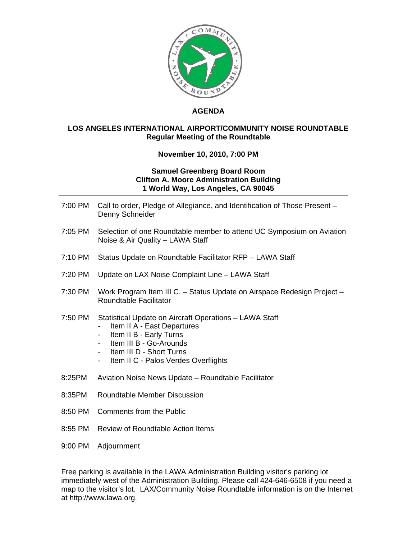

## **AGENDA**

## **LOS ANGELES INTERNATIONAL AIRPORT/COMMUNITY NOISE ROUNDTABLE Regular Meeting of the Roundtable**

## **November 10, 2010, 7:00 PM**

## **Samuel Greenberg Board Room Clifton A. Moore Administration Building 1 World Way, Los Angeles, CA 90045**

| 7:00 PM | Call to order, Pledge of Allegiance, and Identification of Those Present -<br>Denny Schneider                                                                                                                                                          |
|---------|--------------------------------------------------------------------------------------------------------------------------------------------------------------------------------------------------------------------------------------------------------|
| 7:05 PM | Selection of one Roundtable member to attend UC Symposium on Aviation<br>Noise & Air Quality - LAWA Staff                                                                                                                                              |
| 7:10 PM | Status Update on Roundtable Facilitator RFP - LAWA Staff                                                                                                                                                                                               |
| 7:20 PM | Update on LAX Noise Complaint Line - LAWA Staff                                                                                                                                                                                                        |
| 7:30 PM | Work Program Item III C. - Status Update on Airspace Redesign Project -<br>Roundtable Facilitator                                                                                                                                                      |
| 7:50 PM | Statistical Update on Aircraft Operations - LAWA Staff<br>Item II A - East Departures<br>Item II B - Early Turns<br>Item III B - Go-Arounds<br>Item III D - Short Turns<br>$\sim$ 10 $\pm$<br>Item II C - Palos Verdes Overflights<br>$\sim$ 100 $\pm$ |
| 8:25PM  | Aviation Noise News Update - Roundtable Facilitator                                                                                                                                                                                                    |
| 8:35PM  | Roundtable Member Discussion                                                                                                                                                                                                                           |
| 8:50 PM | <b>Comments from the Public</b>                                                                                                                                                                                                                        |
| 8:55 PM | Review of Roundtable Action Items                                                                                                                                                                                                                      |

9:00 PM Adjournment

Free parking is available in the LAWA Administration Building visitor's parking lot immediately west of the Administration Building. Please call 424-646-6508 if you need a map to the visitor's lot. LAX/Community Noise Roundtable information is on the Internet at http://www.lawa.org.